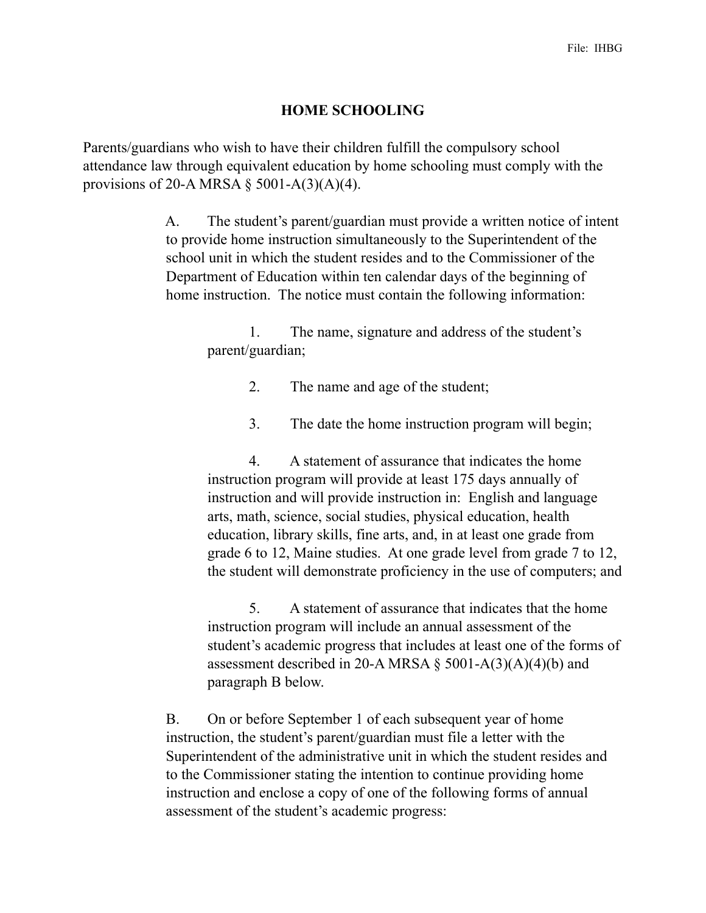## **HOME SCHOOLING**

Parents/guardians who wish to have their children fulfill the compulsory school attendance law through equivalent education by home schooling must comply with the provisions of 20-A MRSA  $\S$  5001-A(3)(A)(4).

> A. The student's parent/guardian must provide a written notice of intent to provide home instruction simultaneously to the Superintendent of the school unit in which the student resides and to the Commissioner of the Department of Education within ten calendar days of the beginning of home instruction. The notice must contain the following information:

 1. The name, signature and address of the student's parent/guardian;

2. The name and age of the student;

3. The date the home instruction program will begin;

 4. A statement of assurance that indicates the home instruction program will provide at least 175 days annually of instruction and will provide instruction in: English and language arts, math, science, social studies, physical education, health education, library skills, fine arts, and, in at least one grade from grade 6 to 12, Maine studies. At one grade level from grade 7 to 12, the student will demonstrate proficiency in the use of computers; and

 5. A statement of assurance that indicates that the home instruction program will include an annual assessment of the student's academic progress that includes at least one of the forms of assessment described in 20-A MRSA  $\S$  5001-A(3)(A)(4)(b) and paragraph B below.

 B. On or before September 1 of each subsequent year of home instruction, the student's parent/guardian must file a letter with the Superintendent of the administrative unit in which the student resides and to the Commissioner stating the intention to continue providing home instruction and enclose a copy of one of the following forms of annual assessment of the student's academic progress: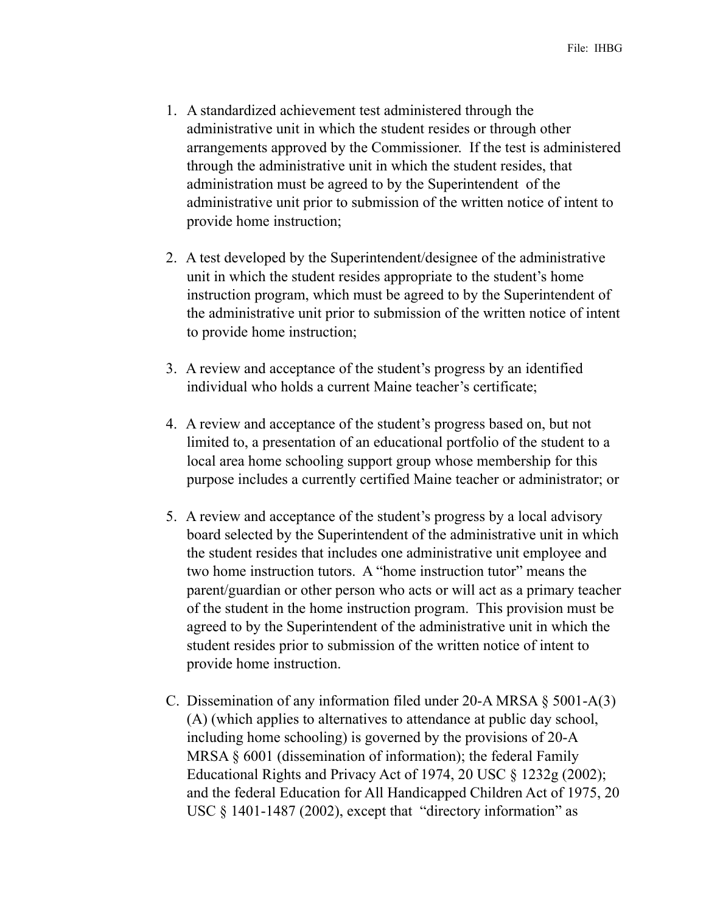- 1. A standardized achievement test administered through the administrative unit in which the student resides or through other arrangements approved by the Commissioner. If the test is administered through the administrative unit in which the student resides, that administration must be agreed to by the Superintendent of the administrative unit prior to submission of the written notice of intent to provide home instruction;
- 2. A test developed by the Superintendent/designee of the administrative unit in which the student resides appropriate to the student's home instruction program, which must be agreed to by the Superintendent of the administrative unit prior to submission of the written notice of intent to provide home instruction;
- 3. A review and acceptance of the student's progress by an identified individual who holds a current Maine teacher's certificate;
- 4. A review and acceptance of the student's progress based on, but not limited to, a presentation of an educational portfolio of the student to a local area home schooling support group whose membership for this purpose includes a currently certified Maine teacher or administrator; or
- 5. A review and acceptance of the student's progress by a local advisory board selected by the Superintendent of the administrative unit in which the student resides that includes one administrative unit employee and two home instruction tutors. A "home instruction tutor" means the parent/guardian or other person who acts or will act as a primary teacher of the student in the home instruction program. This provision must be agreed to by the Superintendent of the administrative unit in which the student resides prior to submission of the written notice of intent to provide home instruction.
- C. Dissemination of any information filed under 20-A MRSA § 5001-A(3) (A) (which applies to alternatives to attendance at public day school, including home schooling) is governed by the provisions of 20-A MRSA  $\S$  6001 (dissemination of information); the federal Family Educational Rights and Privacy Act of 1974, 20 USC § 1232g (2002); and the federal Education for All Handicapped Children Act of 1975, 20 USC § 1401-1487 (2002), except that "directory information" as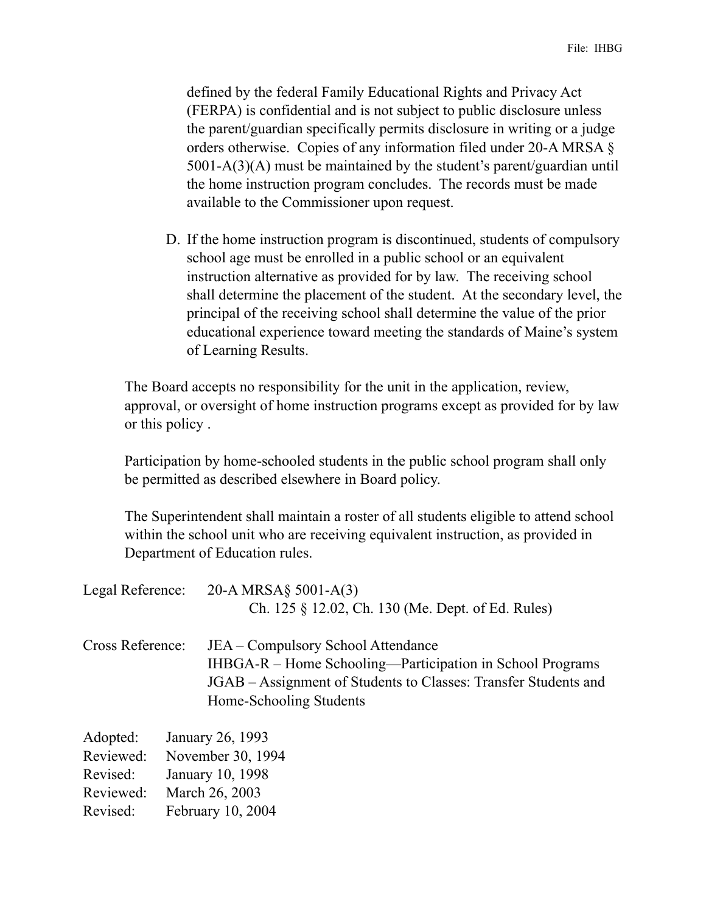defined by the federal Family Educational Rights and Privacy Act (FERPA) is confidential and is not subject to public disclosure unless the parent/guardian specifically permits disclosure in writing or a judge orders otherwise. Copies of any information filed under 20-A MRSA § 5001-A(3)(A) must be maintained by the student's parent/guardian until the home instruction program concludes. The records must be made available to the Commissioner upon request.

D. If the home instruction program is discontinued, students of compulsory school age must be enrolled in a public school or an equivalent instruction alternative as provided for by law. The receiving school shall determine the placement of the student. At the secondary level, the principal of the receiving school shall determine the value of the prior educational experience toward meeting the standards of Maine's system of Learning Results.

The Board accepts no responsibility for the unit in the application, review, approval, or oversight of home instruction programs except as provided for by law or this policy .

Participation by home-schooled students in the public school program shall only be permitted as described elsewhere in Board policy.

The Superintendent shall maintain a roster of all students eligible to attend school within the school unit who are receiving equivalent instruction, as provided in Department of Education rules.

| Legal Reference: | 20-A MRSA $\S$ 5001-A(3)<br>Ch. 125 § 12.02, Ch. 130 (Me. Dept. of Ed. Rules)                                                                                                                 |
|------------------|-----------------------------------------------------------------------------------------------------------------------------------------------------------------------------------------------|
| Cross Reference: | JEA – Compulsory School Attendance<br>IHBGA-R – Home Schooling—Participation in School Programs<br>JGAB – Assignment of Students to Classes: Transfer Students and<br>Home-Schooling Students |
| Adopted:         | January 26, 1993                                                                                                                                                                              |
| Reviewed:        | November 30, 1994                                                                                                                                                                             |
| Revised:         | January 10, 1998                                                                                                                                                                              |
| Reviewed:        | March 26, 2003                                                                                                                                                                                |
| Revised:         | February 10, 2004                                                                                                                                                                             |